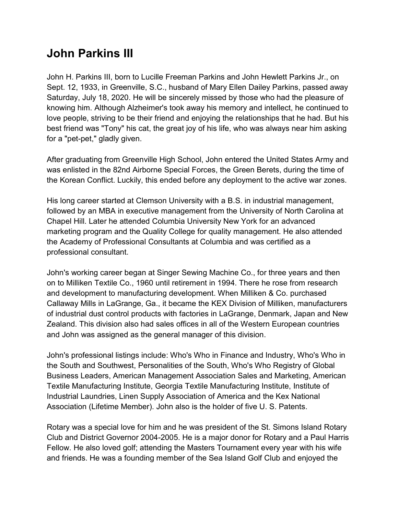## John Parkins III

John H. Parkins III, born to Lucille Freeman Parkins and John Hewlett Parkins Jr., on Sept. 12, 1933, in Greenville, S.C., husband of Mary Ellen Dailey Parkins, passed away Saturday, July 18, 2020. He will be sincerely missed by those who had the pleasure of knowing him. Although Alzheimer's took away his memory and intellect, he continued to love people, striving to be their friend and enjoying the relationships that he had. But his best friend was "Tony" his cat, the great joy of his life, who was always near him asking for a "pet-pet," gladly given.

After graduating from Greenville High School, John entered the United States Army and was enlisted in the 82nd Airborne Special Forces, the Green Berets, during the time of the Korean Conflict. Luckily, this ended before any deployment to the active war zones.

His long career started at Clemson University with a B.S. in industrial management, followed by an MBA in executive management from the University of North Carolina at Chapel Hill. Later he attended Columbia University New York for an advanced marketing program and the Quality College for quality management. He also attended the Academy of Professional Consultants at Columbia and was certified as a professional consultant.

John's working career began at Singer Sewing Machine Co., for three years and then on to Milliken Textile Co., 1960 until retirement in 1994. There he rose from research and development to manufacturing development. When Milliken & Co. purchased Callaway Mills in LaGrange, Ga., it became the KEX Division of Milliken, manufacturers of industrial dust control products with factories in LaGrange, Denmark, Japan and New Zealand. This division also had sales offices in all of the Western European countries and John was assigned as the general manager of this division.

John's professional listings include: Who's Who in Finance and Industry, Who's Who in the South and Southwest, Personalities of the South, Who's Who Registry of Global Business Leaders, American Management Association Sales and Marketing, American Textile Manufacturing Institute, Georgia Textile Manufacturing Institute, Institute of Industrial Laundries, Linen Supply Association of America and the Kex National Association (Lifetime Member). John also is the holder of five U. S. Patents.

Rotary was a special love for him and he was president of the St. Simons Island Rotary Club and District Governor 2004-2005. He is a major donor for Rotary and a Paul Harris Fellow. He also loved golf; attending the Masters Tournament every year with his wife and friends. He was a founding member of the Sea Island Golf Club and enjoyed the